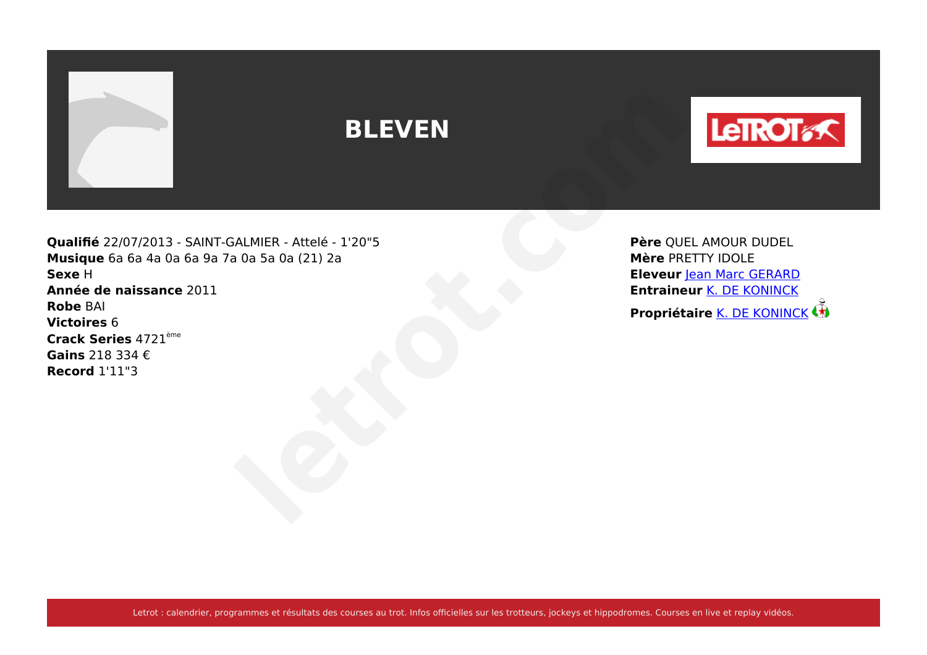

**Qualifié** 22/07/2013 - SAINT-GALMIER - Attelé - 1'20"5 **Musique** 6a 6a 4a 0a 6a 9a 7a 0a 5a 0a (21) 2a **Sexe** H **Année de naissance** 2011 **Robe** BAI **Victoires** 6 **Crack Series** 4721ème **Gains** 218 334 € **Record** 1'11"3

**Père** QUEL AMOUR DUDEL **Mère** PRETTY IDOLE **Eleveur** [Jean Marc GERARD](https://www.letrot.com/stats/fiche-homme/jean-marc-gerard/Z2t4ZwAAdw/eleveur/dernieres-courses) **Entraineur [K. DE KONINCK](https://www.letrot.com/stats/fiche-homme/k-de-koninck/bWZ7ZgIEYA/entraineur/dernieres-courses)**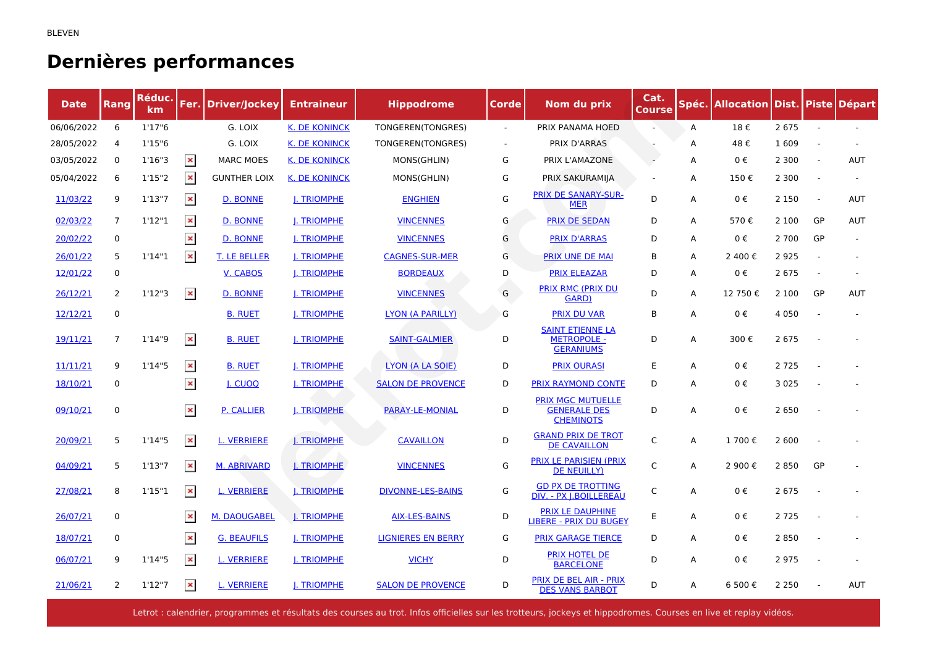# **Dernières performances**

| <b>Date</b> | <b>Rang</b>    | Réduc.<br>km |                | Fer. Driver/Jockey  | <b>Entraineur</b>    | <b>Hippodrome</b>         | Corde  | Nom du prix                                                         | Cat.<br>Course |   | Spéc. Allocation Dist. Piste |         |        | <b>Départ</b> |
|-------------|----------------|--------------|----------------|---------------------|----------------------|---------------------------|--------|---------------------------------------------------------------------|----------------|---|------------------------------|---------|--------|---------------|
| 06/06/2022  | 6              | 1'17''6      |                | G. LOIX             | <b>K. DE KONINCK</b> | TONGEREN(TONGRES)         | $\sim$ | PRIX PANAMA HOED                                                    |                | A | 18€                          | 2 6 7 5 |        |               |
| 28/05/2022  | 4              | 1'15"6       |                | G. LOIX             | <b>K. DE KONINCK</b> | TONGEREN(TONGRES)         |        | PRIX D'ARRAS                                                        |                | A | 48€                          | 1609    |        |               |
| 03/05/2022  | $\mathbf 0$    | 1'16''3      | $\pmb{\times}$ | <b>MARC MOES</b>    | <b>K. DE KONINCK</b> | MONS(GHLIN)               | G      | PRIX L'AMAZONE                                                      |                | A | $0 \in$                      | 2 3 0 0 |        | <b>AUT</b>    |
| 05/04/2022  | 6              | 1'15''2      | $\pmb{\times}$ | <b>GUNTHER LOIX</b> | <b>K. DE KONINCK</b> | MONS(GHLIN)               | G      | PRIX SAKURAMIJA                                                     |                | A | 150€                         | 2 3 0 0 |        |               |
| 11/03/22    | 9              | 1'13''7      | $\pmb{\times}$ | D. BONNE            | <b>I. TRIOMPHE</b>   | <b>ENGHIEN</b>            | G      | <b>PRIX DE SANARY-SUR-</b><br><b>MER</b>                            | D              | A | $0 \in$                      | 2 1 5 0 | $\sim$ | <b>AUT</b>    |
| 02/03/22    | $\overline{7}$ | 1'12"1       | $\pmb{\times}$ | D. BONNE            | <b>I. TRIOMPHE</b>   | <b>VINCENNES</b>          | G      | <b>PRIX DE SEDAN</b>                                                | D              | A | 570€                         | 2 100   | GP     | <b>AUT</b>    |
| 20/02/22    | 0              |              | $\pmb{\times}$ | <b>D. BONNE</b>     | <b>J. TRIOMPHE</b>   | <b>VINCENNES</b>          | G      | <b>PRIX D'ARRAS</b>                                                 | D              | A | 0€                           | 2 7 0 0 | GP     |               |
| 26/01/22    | 5              | 1'14"1       | $\pmb{\times}$ | <b>T. LE BELLER</b> | <b>J. TRIOMPHE</b>   | <b>CAGNES-SUR-MER</b>     | G      | <b>PRIX UNE DE MAI</b>                                              | B              | A | 2 400€                       | 2925    |        |               |
| 12/01/22    | 0              |              |                | V. CABOS            | J. TRIOMPHE          | <b>BORDEAUX</b>           | D      | <b>PRIX ELEAZAR</b>                                                 | D              | A | $0 \in$                      | 2 6 7 5 |        |               |
| 26/12/21    | 2              | 1'12''3      | $\pmb{\times}$ | <b>D. BONNE</b>     | <b>I. TRIOMPHE</b>   | <b>VINCENNES</b>          | G      | <b>PRIX RMC (PRIX DU</b><br>GARD)                                   | D              | A | 12 750€                      | 2 100   | GP     | AUT           |
| 12/12/21    | $\mathbf 0$    |              |                | <b>B. RUET</b>      | J. TRIOMPHE          | <b>LYON (A PARILLY)</b>   | G      | <b>PRIX DU VAR</b>                                                  | B              | A | 0€                           | 4 0 5 0 |        |               |
| 19/11/21    | $\overline{7}$ | 1'14''9      | $\pmb{\times}$ | <b>B. RUET</b>      | <b>I. TRIOMPHE</b>   | <b>SAINT-GALMIER</b>      | D      | <b>SAINT ETIENNE LA</b><br><b>METROPOLE -</b><br><b>GERANIUMS</b>   | D              | Α | 300€                         | 2 6 7 5 |        |               |
| 11/11/21    | 9              | 1'14"5       | $\pmb{\times}$ | <b>B. RUET</b>      | <b>J. TRIOMPHE</b>   | LYON (A LA SOIE)          | D      | <b>PRIX OURASI</b>                                                  | E              | Α | $0 \in$                      | 2 7 2 5 |        |               |
| 18/10/21    | 0              |              | $\pmb{\times}$ | I. CUOQ             | <b>I. TRIOMPHE</b>   | <b>SALON DE PROVENCE</b>  | D      | PRIX RAYMOND CONTE                                                  | D              | A | 0€                           | 3 0 2 5 |        |               |
| 09/10/21    | $\mathbf 0$    |              | $\pmb{\times}$ | <b>P. CALLIER</b>   | <b>J. TRIOMPHE</b>   | PARAY-LE-MONIAL           | D      | <b>PRIX MGC MUTUELLE</b><br><b>GENERALE DES</b><br><b>CHEMINOTS</b> | D              | A | 0€                           | 2 6 5 0 |        |               |
| 20/09/21    | 5              | 1'14"5       | $\pmb{\times}$ | <b>L. VERRIERE</b>  | <b>I. TRIOMPHE</b>   | <b>CAVAILLON</b>          | D      | <b>GRAND PRIX DE TROT</b><br><b>DE CAVAILLON</b>                    | C              | A | 1700€                        | 2 600   |        |               |
| 04/09/21    | 5              | 1'13''7      | $\pmb{\times}$ | <b>M. ABRIVARD</b>  | <b>J. TRIOMPHE</b>   | <b>VINCENNES</b>          | G      | PRIX LE PARISIEN (PRIX<br><b>DE NEUILLY)</b>                        | $\mathsf{C}$   | A | 2 900€                       | 2850    | GP     |               |
| 27/08/21    | 8              | 1'15"1       | $\pmb{\times}$ | <b>L. VERRIERE</b>  | <b>I. TRIOMPHE</b>   | <b>DIVONNE-LES-BAINS</b>  | G      | <b>GD PX DE TROTTING</b><br>DIV. - PX J.BOILLEREAU                  | $\mathsf{C}$   | A | $0 \in$                      | 2675    |        |               |
| 26/07/21    | $\mathbf 0$    |              | $\pmb{\times}$ | <b>M. DAOUGABEL</b> | <b>I. TRIOMPHE</b>   | <b>AIX-LES-BAINS</b>      | D      | <b>PRIX LE DAUPHINE</b><br><b>LIBERE - PRIX DU BUGEY</b>            | Е              | A | $0 \in$                      | 2 7 2 5 |        |               |
| 18/07/21    | 0              |              | $\pmb{\times}$ | <b>G. BEAUFILS</b>  | <b>J. TRIOMPHE</b>   | <b>LIGNIERES EN BERRY</b> | G      | <b>PRIX GARAGE TIERCE</b>                                           | D              | A | $0 \in$                      | 2850    |        |               |
| 06/07/21    | 9              | 1'14"5       | $\pmb{\times}$ | <b>L. VERRIERE</b>  | <b>I. TRIOMPHE</b>   | <b>VICHY</b>              | D      | PRIX HOTEL DE<br><b>BARCELONE</b>                                   | D              | A | 0€                           | 2975    |        |               |
| 21/06/21    | $\overline{2}$ | 1'12''7      | $\pmb{\times}$ | <b>L. VERRIERE</b>  | <b>I. TRIOMPHE</b>   | <b>SALON DE PROVENCE</b>  | D      | PRIX DE BEL AIR - PRIX<br><b>DES VANS BARBOT</b>                    | D              | A | 6 500€                       | 2 2 5 0 |        | <b>AUT</b>    |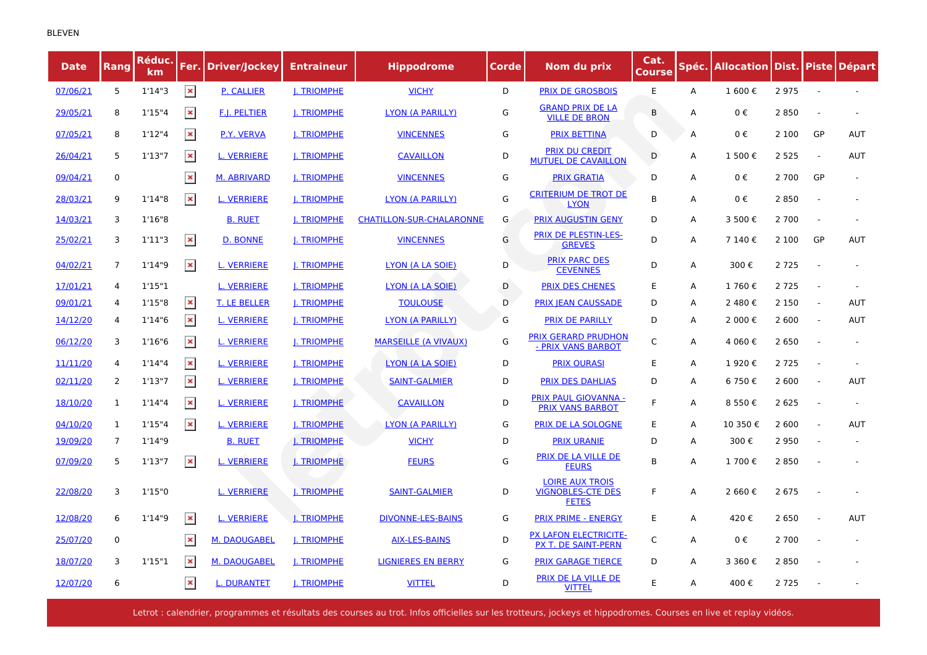| <b>Date</b> | Rang           | Réduc.<br>km |                | <b>Fer. Driver/Jockey</b> | <b>Entraineur</b>  | <b>Hippodrome</b>               | Corde | Nom du prix                                                        | Cat.<br><b>Course</b> | Spéc. | <b>Allocation Dist. Piste Départ</b> |         |        |                          |
|-------------|----------------|--------------|----------------|---------------------------|--------------------|---------------------------------|-------|--------------------------------------------------------------------|-----------------------|-------|--------------------------------------|---------|--------|--------------------------|
| 07/06/21    | 5              | 1'14''3      | $\pmb{\times}$ | P. CALLIER                | <b>I. TRIOMPHE</b> | <b>VICHY</b>                    | D     | <b>PRIX DE GROSBOIS</b>                                            | E                     | A     | 1 600€                               | 2975    | $\sim$ | $\overline{\phantom{a}}$ |
| 29/05/21    | 8              | 1'15''4      | $\pmb{\times}$ | <b>F.I. PELTIER</b>       | <b>I. TRIOMPHE</b> | <b>LYON (A PARILLY)</b>         | G     | <b>GRAND PRIX DE LA</b><br><b>VILLE DE BRON</b>                    | B                     | A     | 0€                                   | 2850    |        |                          |
| 07/05/21    | 8              | 1'12''4      | $\pmb{\times}$ | P.Y. VERVA                | <b>I. TRIOMPHE</b> | <b>VINCENNES</b>                | G     | <b>PRIX BETTINA</b>                                                | D                     | A     | 0€                                   | 2 100   | GP     | <b>AUT</b>               |
| 26/04/21    | 5              | 1'13"7       | $\pmb{\times}$ | <b>L. VERRIERE</b>        | <b>J. TRIOMPHE</b> | <b>CAVAILLON</b>                | D     | <b>PRIX DU CREDIT</b><br><b>MUTUEL DE CAVAILLON</b>                | D                     | A     | 1 500€                               | 2 5 2 5 | $\sim$ | <b>AUT</b>               |
| 09/04/21    | 0              |              | $\pmb{\times}$ | <b>M. ABRIVARD</b>        | <b>I. TRIOMPHE</b> | <b>VINCENNES</b>                | G     | <b>PRIX GRATIA</b>                                                 | D                     | A     | $0 \in$                              | 2 7 0 0 | GP     |                          |
| 28/03/21    | 9              | 1'14"8       | $\pmb{\times}$ | <b>L. VERRIERE</b>        | J. TRIOMPHE        | LYON (A PARILLY)                | G     | <b>CRITERIUM DE TROT DE</b><br><b>LYON</b>                         | B                     | A     | 0€                                   | 2850    |        |                          |
| 14/03/21    | 3              | 1'16"8       |                | <b>B. RUET</b>            | <b>J. TRIOMPHE</b> | <b>CHATILLON-SUR-CHALARONNE</b> | G     | <b>PRIX AUGUSTIN GENY</b>                                          | D                     | A     | 3 500 €                              | 2 7 0 0 | $\sim$ |                          |
| 25/02/21    | 3              | 1'11"3       | $\pmb{\times}$ | <b>D. BONNE</b>           | <b>J. TRIOMPHE</b> | <b>VINCENNES</b>                | G     | <b>PRIX DE PLESTIN-LES-</b><br><b>GREVES</b>                       | D                     | Α     | 7 140€                               | 2 100   | GP     | <b>AUT</b>               |
| 04/02/21    | $\overline{7}$ | 1'14''9      | $\pmb{\times}$ | <b>L. VERRIERE</b>        | <b>J. TRIOMPHE</b> | LYON (A LA SOIE)                | D     | <b>PRIX PARC DES</b><br><b>CEVENNES</b>                            | D                     | Α     | 300€                                 | 2725    |        |                          |
| 17/01/21    | 4              | 1'15"1       |                | <b>L. VERRIERE</b>        | <b>I. TRIOMPHE</b> | <b>LYON (A LA SOIE)</b>         | D     | <b>PRIX DES CHENES</b>                                             | E                     | А     | 1760€                                | 2 7 2 5 |        |                          |
| 09/01/21    | 4              | 1'15"8       | $\pmb{\times}$ | <b>T. LE BELLER</b>       | <b>J. TRIOMPHE</b> | <b>TOULOUSE</b>                 | D     | <b>PRIX IEAN CAUSSADE</b>                                          | D                     | A     | 2 480 €                              | 2 1 5 0 | $\sim$ | <b>AUT</b>               |
| 14/12/20    | 4              | 1'14"6       | $\pmb{\times}$ | <b>L. VERRIERE</b>        | J. TRIOMPHE        | LYON (A PARILLY)                | G     | PRIX DE PARILLY                                                    | D                     | A     | 2 000 €                              | 2 600   | $\sim$ | <b>AUT</b>               |
| 06/12/20    | 3              | 1'16"6       | $\pmb{\times}$ | <b>L. VERRIERE</b>        | <b>I. TRIOMPHE</b> | <b>MARSEILLE (A VIVAUX)</b>     | G     | <b>PRIX GERARD PRUDHON</b><br>- PRIX VANS BARBOT                   | C                     | A     | 4 060 €                              | 2 6 5 0 |        |                          |
| 11/11/20    | 4              | 1'14''4      | $\pmb{\times}$ | <b>L. VERRIERE</b>        | <b>I. TRIOMPHE</b> | <b>LYON (A LA SOIE)</b>         | D     | <b>PRIX OURASI</b>                                                 | E                     | A     | 1920€                                | 2 7 2 5 | $\sim$ | $\overline{a}$           |
| 02/11/20    | 2              | 1'13"7       | $\pmb{\times}$ | <b>L. VERRIERE</b>        | <b>J. TRIOMPHE</b> | <b>SAINT-GALMIER</b>            | D     | <b>PRIX DES DAHLIAS</b>                                            | D                     | A     | 6 750€                               | 2 600   | $\sim$ | <b>AUT</b>               |
| 18/10/20    | 1              | 1'14''4      | $\pmb{\times}$ | <b>L. VERRIERE</b>        | <b>I. TRIOMPHE</b> | <b>CAVAILLON</b>                | D     | <b>PRIX PAUL GIOVANNA -</b><br><b>PRIX VANS BARBOT</b>             | F                     | A     | 8 550€                               | 2 6 2 5 |        |                          |
| 04/10/20    | 1              | 1'15"4       | $\pmb{\times}$ | <b>L. VERRIERE</b>        | <b>J. TRIOMPHE</b> | <b>LYON (A PARILLY)</b>         | G     | <b>PRIX DE LA SOLOGNE</b>                                          | Е                     | A     | 10 350 €                             | 2 600   | $\sim$ | <b>AUT</b>               |
| 19/09/20    | $\overline{7}$ | 1'14"9       |                | <b>B. RUET</b>            | <b>I. TRIOMPHE</b> | <b>VICHY</b>                    | D     | <b>PRIX URANIE</b>                                                 | D                     | A     | 300€                                 | 2950    |        |                          |
| 07/09/20    | 5              | 1'13"7       | $\pmb{\times}$ | <b>L. VERRIERE</b>        | <b>I. TRIOMPHE</b> | <b>FEURS</b>                    | G     | PRIX DE LA VILLE DE<br><b>FEURS</b>                                | B                     | Α     | 1 700€                               | 2850    |        |                          |
| 22/08/20    | 3              | 1'15"0       |                | <b>L. VERRIERE</b>        | <b>I. TRIOMPHE</b> | <b>SAINT-GALMIER</b>            | D     | <b>LOIRE AUX TROIS</b><br><b>VIGNOBLES-CTE DES</b><br><b>FETES</b> | F                     | A     | 2 660€                               | 2 6 7 5 |        |                          |
| 12/08/20    | 6              | 1'14"9       | $\pmb{\times}$ | <b>L. VERRIERE</b>        | <b>J. TRIOMPHE</b> | <b>DIVONNE-LES-BAINS</b>        | G     | <b>PRIX PRIME - ENERGY</b>                                         | E                     | A     | 420€                                 | 2 6 5 0 | $\sim$ | AUT                      |
| 25/07/20    | 0              |              | $\pmb{\times}$ | <b>M. DAOUGABEL</b>       | <b>J. TRIOMPHE</b> | <b>AIX-LES-BAINS</b>            | D     | PX LAFON ELECTRICITE-<br>PX T. DE SAINT-PERN                       | C                     | A     | 0€                                   | 2 7 0 0 |        |                          |
| 18/07/20    | 3              | 1'15"1       | $\pmb{\times}$ | M. DAOUGABEL              | <b>J. TRIOMPHE</b> | <b>LIGNIERES EN BERRY</b>       | G     | <b>PRIX GARAGE TIERCE</b>                                          | D                     | A     | 3 360€                               | 2850    |        |                          |
| 12/07/20    | 6              |              | $\pmb{\times}$ | <b>L. DURANTET</b>        | <b>I. TRIOMPHE</b> | <b>VITTEL</b>                   | D     | PRIX DE LA VILLE DE<br><b>VITTEL</b>                               | E.                    | A     | 400€                                 | 2 7 2 5 |        |                          |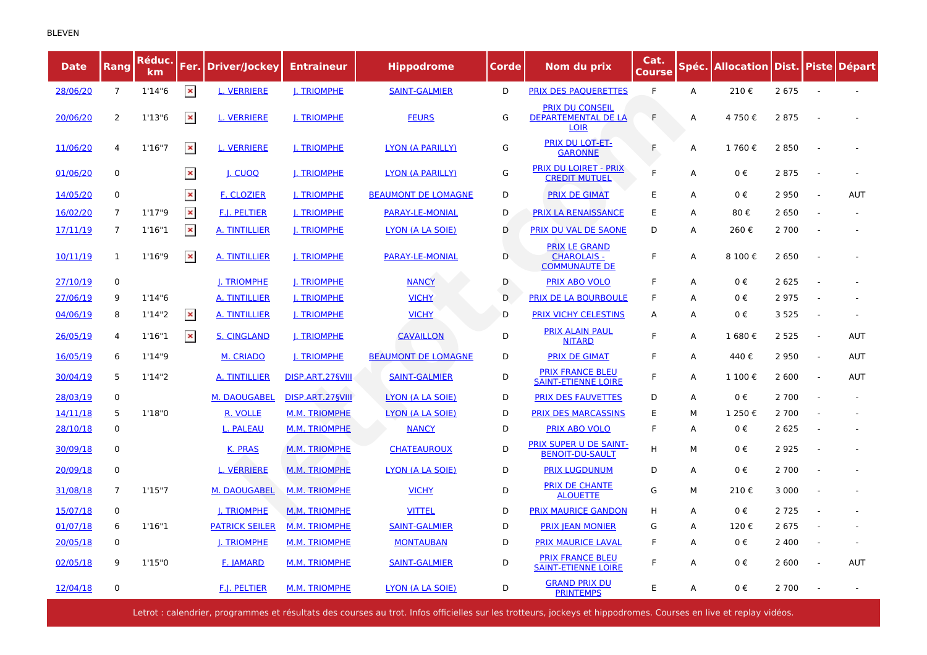| <b>Date</b> | Rang           | <u>Réduc.</u><br>km |                | <b>Fer. Driver/Jockey</b> | <b>Entraineur</b>    | <b>Hippodrome</b>          | Corde | Nom du prix                                                         | Cat.<br>Course | Spéc. | Allocation   Dist.   Piste   Départ |         |                          |            |
|-------------|----------------|---------------------|----------------|---------------------------|----------------------|----------------------------|-------|---------------------------------------------------------------------|----------------|-------|-------------------------------------|---------|--------------------------|------------|
| 28/06/20    | $\overline{7}$ | 1'14''6             | $\pmb{\times}$ | <b>L. VERRIERE</b>        | <b>J. TRIOMPHE</b>   | <b>SAINT-GALMIER</b>       | D     | <b>PRIX DES PAQUERETTES</b>                                         | F              | А     | 210€                                | 2 6 7 5 | $\overline{\phantom{a}}$ |            |
| 20/06/20    | 2              | 1'13''6             | $\pmb{\times}$ | <b>L. VERRIERE</b>        | <b>I. TRIOMPHE</b>   | <b>FEURS</b>               | G     | <b>PRIX DU CONSEIL</b><br><b>DEPARTEMENTAL DE LA</b><br><b>LOIR</b> | F              | A     | 4 750€                              | 2875    |                          |            |
| 11/06/20    | 4              | 1'16''7             | $\pmb{\times}$ | <b>L. VERRIERE</b>        | <b>I. TRIOMPHE</b>   | LYON (A PARILLY)           | G     | <b>PRIX DU LOT-ET-</b><br><b>GARONNE</b>                            | F              | A     | 1760€                               | 2850    |                          |            |
| 01/06/20    | 0              |                     | $\pmb{\times}$ | I. CUOQ                   | <b>I. TRIOMPHE</b>   | <b>LYON (A PARILLY)</b>    | G     | <b>PRIX DU LOIRET - PRIX</b><br><b>CREDIT MUTUEL</b>                | F              | А     | 0€                                  | 2875    | $\sim$                   |            |
| 14/05/20    | 0              |                     | $\pmb{\times}$ | <b>F. CLOZIER</b>         | <b>I. TRIOMPHE</b>   | <b>BEAUMONT DE LOMAGNE</b> | D     | <b>PRIX DE GIMAT</b>                                                | Ε              | А     | 0€                                  | 2950    | ÷,                       | <b>AUT</b> |
| 16/02/20    | $\overline{7}$ | 1'17''9             | $\pmb{\times}$ | <b>F.I. PELTIER</b>       | <b>I. TRIOMPHE</b>   | <b>PARAY-LE-MONIAL</b>     | D     | <b>PRIX LA RENAISSANCE</b>                                          | E              | Α     | 80€                                 | 2 6 5 0 | $\overline{a}$           |            |
| 17/11/19    | $\overline{7}$ | 1'16''1             | $\pmb{\times}$ | A. TINTILLIER             | <b>I. TRIOMPHE</b>   | <b>LYON (A LA SOIE)</b>    | D     | PRIX DU VAL DE SAONE                                                | D              | А     | 260€                                | 2 700   |                          |            |
| 10/11/19    | 1              | 1'16''9             | $\pmb{\times}$ | A. TINTILLIER             | <b>I. TRIOMPHE</b>   | <b>PARAY-LE-MONIAL</b>     | D     | <b>PRIX LE GRAND</b><br><b>CHAROLAIS -</b><br><b>COMMUNAUTE DE</b>  | F              | А     | 8 100€                              | 2 6 5 0 |                          |            |
| 27/10/19    | 0              |                     |                | <b>I. TRIOMPHE</b>        | <b>I. TRIOMPHE</b>   | <b>NANCY</b>               | D     | <b>PRIX ABO VOLO</b>                                                | F              | А     | 0€                                  | 2 6 2 5 |                          |            |
| 27/06/19    | 9              | 1'14''6             |                | A. TINTILLIER             | <b>J. TRIOMPHE</b>   | <b>VICHY</b>               | D     | <b>PRIX DE LA BOURBOULE</b>                                         | F              | A     | 0€                                  | 2975    |                          |            |
| 04/06/19    | 8              | 1'14''2             | $\pmb{\times}$ | A. TINTILLIER             | <b>I. TRIOMPHE</b>   | <b>VICHY</b>               | D     | <b>PRIX VICHY CELESTINS</b>                                         | Α              | A     | 0€                                  | 3 5 2 5 | $\sim$                   |            |
| 26/05/19    | 4              | 1'16''1             | $\pmb{\times}$ | <b>S. CINGLAND</b>        | <b>J. TRIOMPHE</b>   | <b>CAVAILLON</b>           | D     | <b>PRIX ALAIN PAUL</b><br><b>NITARD</b>                             | F              | A     | 1 680€                              | 2 5 2 5 | $\overline{\phantom{a}}$ | <b>AUT</b> |
| 16/05/19    | 6              | 1'14''9             |                | M. CRIADO                 | <b>J. TRIOMPHE</b>   | <b>BEAUMONT DE LOMAGNE</b> | D     | PRIX DE GIMAT                                                       | F              | А     | 440€                                | 2950    | $\sim$                   | <b>AUT</b> |
| 30/04/19    | 5              | 1'14''2             |                | A. TINTILLIER             | DISP.ART.27§VIII     | <b>SAINT-GALMIER</b>       | D     | <b>PRIX FRANCE BLEU</b><br><b>SAINT-ETIENNE LOIRE</b>               | F              | А     | 1 100€                              | 2 600   | $\sim$                   | <b>AUT</b> |
| 28/03/19    | 0              |                     |                | <b>M. DAOUGABEL</b>       | DISP.ART.27§VIII     | <b>LYON (A LA SOIE)</b>    | D     | <b>PRIX DES FAUVETTES</b>                                           | D              | A     | 0€                                  | 2 700   |                          |            |
| 14/11/18    | 5              | 1'18"0              |                | <b>R. VOLLE</b>           | <b>M.M. TRIOMPHE</b> | <b>LYON (A LA SOIE)</b>    | D     | <b>PRIX DES MARCASSINS</b>                                          | E              | M     | 1 250€                              | 2 7 0 0 |                          |            |
| 28/10/18    | 0              |                     |                | <b>L. PALEAU</b>          | <b>M.M. TRIOMPHE</b> | <b>NANCY</b>               | D     | <b>PRIX ABO VOLO</b>                                                | F              | A     | 0€                                  | 2 6 2 5 |                          |            |
| 30/09/18    | 0              |                     |                | <b>K. PRAS</b>            | <b>M.M. TRIOMPHE</b> | <b>CHATEAUROUX</b>         | D     | <b>PRIX SUPER U DE SAINT-</b><br><b>BENOIT-DU-SAULT</b>             | н              | M     | 0€                                  | 2925    |                          |            |
| 20/09/18    | 0              |                     |                | <b>L. VERRIERE</b>        | <b>M.M. TRIOMPHE</b> | LYON (A LA SOIE)           | D     | <b>PRIX LUGDUNUM</b>                                                | D              | A     | 0€                                  | 2 7 0 0 |                          |            |
| 31/08/18    | $\overline{7}$ | 1'15''7             |                | <b>M. DAOUGABEL</b>       | <b>M.M. TRIOMPHE</b> | <b>VICHY</b>               | D     | <b>PRIX DE CHANTE</b><br><b>ALOUETTE</b>                            | G              | м     | 210 €                               | 3 0 0 0 |                          |            |
| 15/07/18    | 0              |                     |                | <b>I. TRIOMPHE</b>        | <b>M.M. TRIOMPHE</b> | <b>VITTEL</b>              | D     | <b>PRIX MAURICE GANDON</b>                                          | H              | A     | 0€                                  | 2 7 2 5 |                          |            |
| 01/07/18    | 6              | 1'16''1             |                | <b>PATRICK SEILER</b>     | <b>M.M. TRIOMPHE</b> | <b>SAINT-GALMIER</b>       | D     | <b>PRIX JEAN MONIER</b>                                             | G              | А     | 120€                                | 2 6 7 5 |                          |            |
| 20/05/18    | 0              |                     |                | <b>I. TRIOMPHE</b>        | <b>M.M. TRIOMPHE</b> | <b>MONTAUBAN</b>           | D     | <b>PRIX MAURICE LAVAL</b>                                           | F              | Α     | 0€                                  | 2 4 0 0 | $\overline{a}$           |            |
| 02/05/18    | 9              | 1'15"0              |                | <b>F. IAMARD</b>          | <b>M.M. TRIOMPHE</b> | <b>SAINT-GALMIER</b>       | D     | <b>PRIX FRANCE BLEU</b><br><b>SAINT-ETIENNE LOIRE</b>               | F              | A     | 0€                                  | 2 600   | $\sim$                   | <b>AUT</b> |
| 12/04/18    | 0              |                     |                | <b>F.I. PELTIER</b>       | M.M. TRIOMPHE        | <b>LYON (A LA SOIE)</b>    | D     | <b>GRAND PRIX DU</b><br><b>PRINTEMPS</b>                            | E              | А     | 0€                                  | 2 7 0 0 | $\overline{a}$           |            |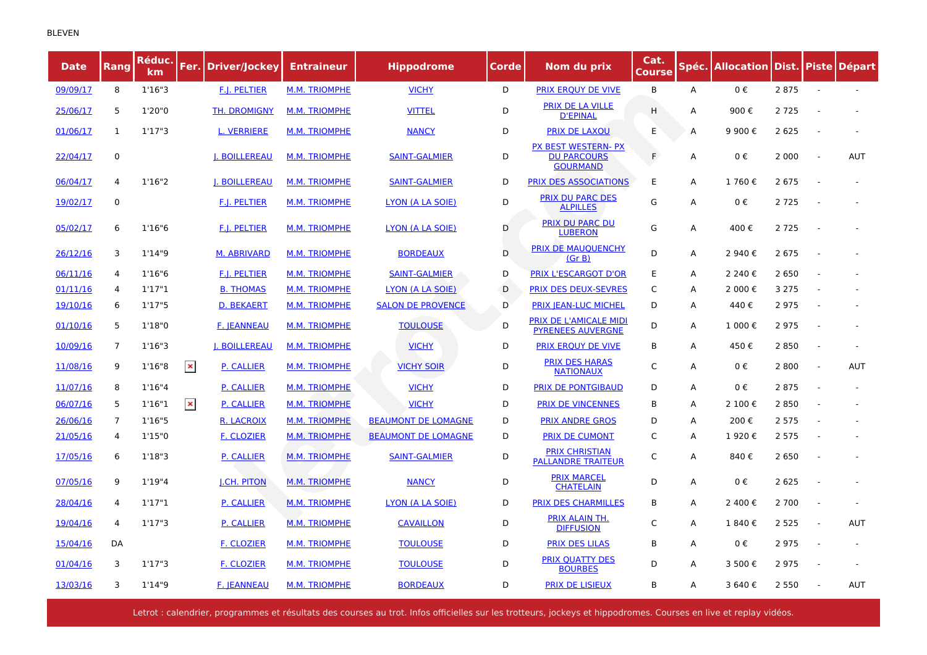| <b>Date</b> | Rang           | Réduc.<br>km |                | Fer. Driver/Jockey   | <b>Entraineur</b>    | <b>Hippodrome</b>          | Corde | Nom du prix                                                  | Cat.<br>Course |   | Spéc.   Allocation   Dist.   Piste   Départ |         |                          |            |
|-------------|----------------|--------------|----------------|----------------------|----------------------|----------------------------|-------|--------------------------------------------------------------|----------------|---|---------------------------------------------|---------|--------------------------|------------|
| 09/09/17    | 8              | 1'16''3      |                | <b>F.J. PELTIER</b>  | <b>M.M. TRIOMPHE</b> | <b>VICHY</b>               | D     | PRIX ERQUY DE VIVE                                           | B              | A | 0€                                          | 2875    | $\sim$                   | $\sim$     |
| 25/06/17    | 5              | 1'20"0       |                | TH. DROMIGNY         | <b>M.M. TRIOMPHE</b> | <b>VITTEL</b>              | D     | PRIX DE LA VILLE<br><b>D'EPINAL</b>                          | H              | A | 900€                                        | 2 7 2 5 |                          |            |
| 01/06/17    | $\mathbf{1}$   | 1'17''3      |                | <b>L. VERRIERE</b>   | <b>M.M. TRIOMPHE</b> | <b>NANCY</b>               | D     | <b>PRIX DE LAXOU</b>                                         | Е              | Α | 9 900€                                      | 2 6 2 5 |                          |            |
| 22/04/17    | $\mathbf 0$    |              |                | <b>I. BOILLEREAU</b> | <b>M.M. TRIOMPHE</b> | <b>SAINT-GALMIER</b>       | D     | PX BEST WESTERN- PX<br><b>DU PARCOURS</b><br><b>GOURMAND</b> | F.             | A | 0€                                          | 2 0 0 0 | $\sim$                   | <b>AUT</b> |
| 06/04/17    | $\overline{4}$ | 1'16''2      |                | <b>I. BOILLEREAU</b> | <b>M.M. TRIOMPHE</b> | <b>SAINT-GALMIER</b>       | D     | <b>PRIX DES ASSOCIATIONS</b>                                 | E              | A | 1760€                                       | 2 6 7 5 |                          |            |
| 19/02/17    | $\mathbf 0$    |              |                | <b>F.J. PELTIER</b>  | <b>M.M. TRIOMPHE</b> | LYON (A LA SOIE)           | D     | <b>PRIX DU PARC DES</b><br><b>ALPILLES</b>                   | G              | А | 0€                                          | 2 7 2 5 |                          |            |
| 05/02/17    | 6              | 1'16''6      |                | <b>F.J. PELTIER</b>  | <b>M.M. TRIOMPHE</b> | LYON (A LA SOIE)           | D     | <b>PRIX DU PARC DU</b><br><b>LUBERON</b>                     | G              | A | 400€                                        | 2 7 2 5 |                          |            |
| 26/12/16    | 3              | 1'14''9      |                | <b>M. ABRIVARD</b>   | <b>M.M. TRIOMPHE</b> | <b>BORDEAUX</b>            | D     | <b>PRIX DE MAUQUENCHY</b><br>(Gr B)                          | D              | А | 2 940 €                                     | 2675    |                          |            |
| 06/11/16    | $\overline{4}$ | 1'16''6      |                | <b>F.J. PELTIER</b>  | <b>M.M. TRIOMPHE</b> | <b>SAINT-GALMIER</b>       | D     | <b>PRIX L'ESCARGOT D'OR</b>                                  | E              | Α | 2 240 €                                     | 2 6 5 0 |                          |            |
| 01/11/16    | $\overline{4}$ | 1'17"1       |                | <b>B. THOMAS</b>     | <b>M.M. TRIOMPHE</b> | LYON (A LA SOIE)           | D     | <b>PRIX DES DEUX-SEVRES</b>                                  | C              | A | 2 000€                                      | 3 2 7 5 |                          |            |
| 19/10/16    | 6              | 1'17''5      |                | <b>D. BEKAERT</b>    | <b>M.M. TRIOMPHE</b> | <b>SALON DE PROVENCE</b>   | D     | <b>PRIX JEAN-LUC MICHEL</b>                                  | D              | Α | 440€                                        | 2975    |                          |            |
| 01/10/16    | 5              | 1'18"0       |                | <b>F. JEANNEAU</b>   | <b>M.M. TRIOMPHE</b> | <b>TOULOUSE</b>            | D     | <b>PRIX DE L'AMICALE MIDI</b><br><b>PYRENEES AUVERGNE</b>    | D              | А | 1 000€                                      | 2975    | $\sim$                   |            |
| 10/09/16    | $\overline{7}$ | 1'16''3      |                | <b>J. BOILLEREAU</b> | <b>M.M. TRIOMPHE</b> | <b>VICHY</b>               | D     | PRIX ERQUY DE VIVE                                           | В              | А | 450€                                        | 2850    | $\overline{\phantom{a}}$ |            |
| 11/08/16    | 9              | 1'16''8      | $\pmb{\times}$ | P. CALLIER           | <b>M.M. TRIOMPHE</b> | <b>VICHY SOIR</b>          | D     | <b>PRIX DES HARAS</b><br><b>NATIONAUX</b>                    | C              | Α | 0€                                          | 2 8 0 0 | $\sim$                   | <b>AUT</b> |
| 11/07/16    | 8              | 1'16''4      |                | <b>P. CALLIER</b>    | <b>M.M. TRIOMPHE</b> | <b>VICHY</b>               | D     | <b>PRIX DE PONTGIBAUD</b>                                    | D              | Α | 0€                                          | 2 8 7 5 | $\overline{\phantom{a}}$ |            |
| 06/07/16    | 5              | 1'16''1      | $\pmb{\times}$ | P. CALLIER           | M.M. TRIOMPHE        | <b>VICHY</b>               | D     | <b>PRIX DE VINCENNES</b>                                     | B              | A | 2 100€                                      | 2850    |                          |            |
| 26/06/16    | $\overline{7}$ | 1'16''5      |                | R. LACROIX           | <b>M.M. TRIOMPHE</b> | <b>BEAUMONT DE LOMAGNE</b> | D     | <b>PRIX ANDRE GROS</b>                                       | D              | А | 200€                                        | 2 5 7 5 |                          |            |
| 21/05/16    | 4              | 1'15"0       |                | <b>F. CLOZIER</b>    | <b>M.M. TRIOMPHE</b> | <b>BEAUMONT DE LOMAGNE</b> | D     | <b>PRIX DE CUMONT</b>                                        | C              | А | 1920€                                       | 2 5 7 5 |                          |            |
| 17/05/16    | 6              | 1'18''3      |                | <b>P. CALLIER</b>    | <b>M.M. TRIOMPHE</b> | <b>SAINT-GALMIER</b>       | D     | <b>PRIX CHRISTIAN</b><br><b>PALLANDRE TRAITEUR</b>           | C              | A | 840€                                        | 2 6 5 0 |                          |            |
| 07/05/16    | 9              | 1'19''4      |                | <b>I.CH. PITON</b>   | <b>M.M. TRIOMPHE</b> | <b>NANCY</b>               | D     | <b>PRIX MARCEL</b><br><b>CHATELAIN</b>                       | D              | A | 0€                                          | 2 6 2 5 | $\sim$                   |            |
| 28/04/16    | 4              | 1'17"1       |                | <b>P. CALLIER</b>    | <b>M.M. TRIOMPHE</b> | <b>LYON (A LA SOIE)</b>    | D     | <b>PRIX DES CHARMILLES</b>                                   | B              | А | 2 400€                                      | 2 7 0 0 | $\sim$                   |            |
| 19/04/16    | $\overline{4}$ | 1'17''3      |                | P. CALLIER           | <b>M.M. TRIOMPHE</b> | <b>CAVAILLON</b>           | D     | PRIX ALAIN TH.<br><b>DIFFUSION</b>                           | C              | А | 1840€                                       | 2 5 2 5 | $\sim$                   | AUT        |
| 15/04/16    | DA             |              |                | <b>F. CLOZIER</b>    | <b>M.M. TRIOMPHE</b> | <b>TOULOUSE</b>            | D     | <b>PRIX DES LILAS</b>                                        | B              | А | 0€                                          | 2975    |                          |            |
| 01/04/16    | 3              | 1'17''3      |                | <b>F. CLOZIER</b>    | M.M. TRIOMPHE        | <b>TOULOUSE</b>            | D     | <b>PRIX QUATTY DES</b><br><b>BOURBES</b>                     | D              | Α | 3 500€                                      | 2975    | $\sim$                   |            |
| 13/03/16    | 3              | 1'14''9      |                | <b>F. JEANNEAU</b>   | <b>M.M. TRIOMPHE</b> | <b>BORDEAUX</b>            | D     | <b>PRIX DE LISIEUX</b>                                       | B              | A | 3 640 €                                     | 2 5 5 0 |                          | <b>AUT</b> |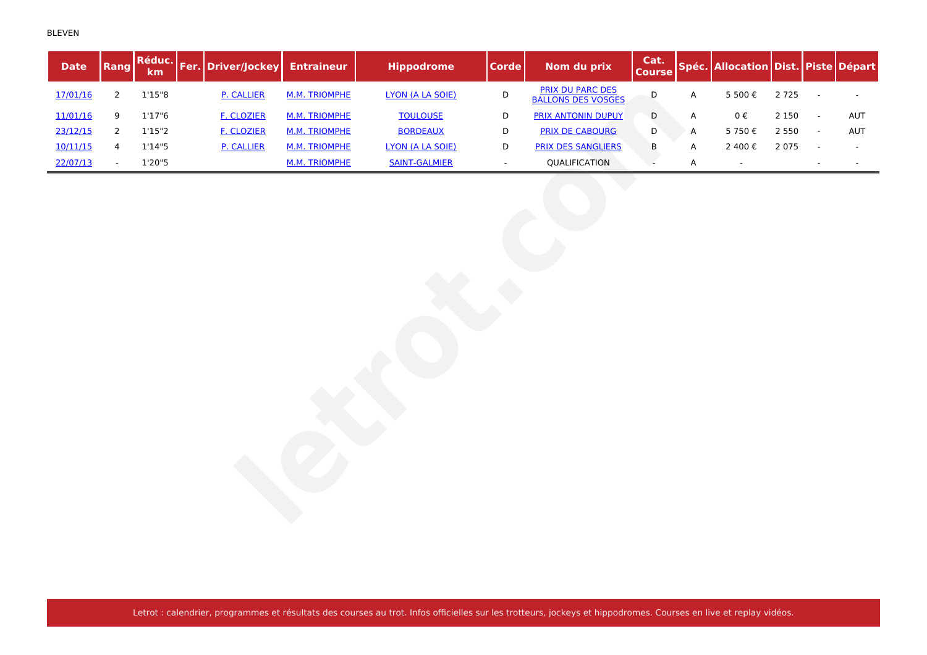| <b>Date</b> | Rang                        |         | Réduc. Fer. Driver/Jockey | <b>Entraineur</b>    | <b>Hippodrome</b>       | <b>Corde</b> | Nom du prix                                          | Cat.<br><b>Course</b> |   | Spéc. Allocation Dist. Piste Départ |         |                          |     |
|-------------|-----------------------------|---------|---------------------------|----------------------|-------------------------|--------------|------------------------------------------------------|-----------------------|---|-------------------------------------|---------|--------------------------|-----|
| 17/01/16    | $\overline{2}$              | 1'15''8 | P. CALLIER                | <b>M.M. TRIOMPHE</b> | <b>LYON (A LA SOIE)</b> | D            | <b>PRIX DU PARC DES</b><br><b>BALLONS DES VOSGES</b> | ${\sf D}$             | A | 5 500 €                             | 2 7 2 5 | $\overline{\phantom{a}}$ |     |
| 11/01/16    | 9                           | 1'17''6 | <b>F. CLOZIER</b>         | <b>M.M. TRIOMPHE</b> | <b>TOULOUSE</b>         | D            | <b>PRIX ANTONIN DUPUY</b>                            | D                     | Α | $0 \in$                             | 2 1 5 0 | $\blacksquare$           | AUT |
| 23/12/15    | $\overline{2}$              | 1'15''2 | <b>F. CLOZIER</b>         | M.M. TRIOMPHE        | <b>BORDEAUX</b>         | D            | <b>PRIX DE CABOURG</b>                               | $\mathsf D$           | A | 5 750€                              | 2 5 5 0 | $\overline{\phantom{a}}$ | AUT |
| 10/11/15    | 4                           | 1'14''5 | P. CALLIER                | M.M. TRIOMPHE        | <b>LYON (A LA SOIE)</b> | D            | <b>PRIX DES SANGLIERS</b>                            | $\,$ B                | Α | 2 400 $\epsilon$                    | 2 0 7 5 |                          |     |
| 22/07/13    | $\mathcal{L}_{\mathcal{A}}$ | 1'20"5  |                           | <b>M.M. TRIOMPHE</b> | <b>SAINT-GALMIER</b>    | $\sim$       | QUALIFICATION                                        | $\mathcal{L}$         | Α | $\sim$                              |         |                          |     |
|             |                             |         |                           |                      |                         |              |                                                      |                       |   |                                     |         |                          |     |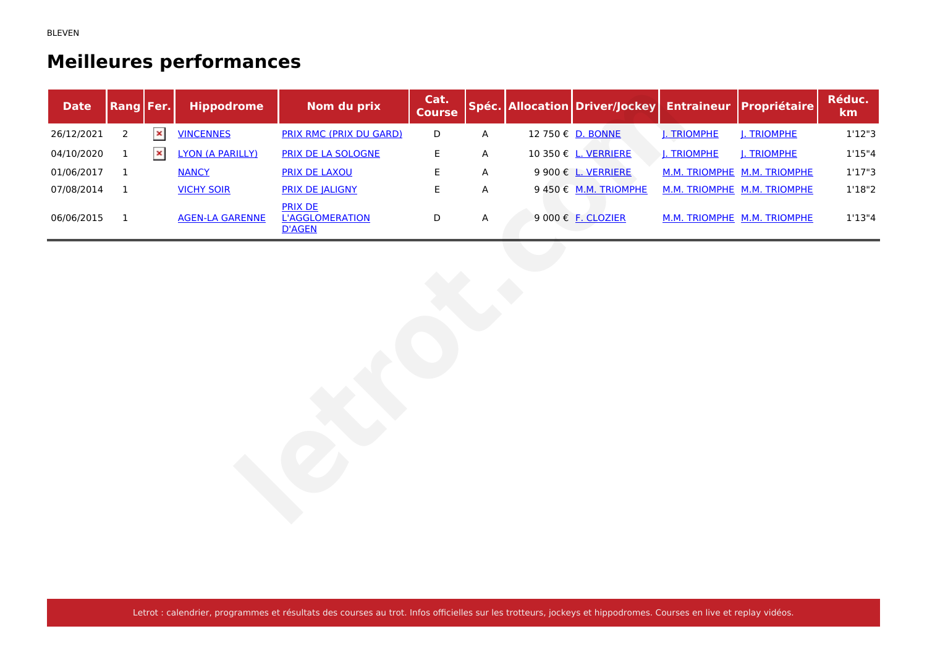# **Meilleures performances**

| <b>Date</b> | Rang   Fer.    |                | <b>Hippodrome</b>       | Nom du prix                                               | Cat.<br><b>Course</b> |   | Spéc. Allocation Driver/Jockey |                    | <b>Entraineur Propriétaire</b> | Réduc.<br>km |
|-------------|----------------|----------------|-------------------------|-----------------------------------------------------------|-----------------------|---|--------------------------------|--------------------|--------------------------------|--------------|
| 26/12/2021  | $\overline{2}$ | $\pmb{\times}$ | <b>VINCENNES</b>        | <b>PRIX RMC (PRIX DU GARD)</b>                            | $\mathsf D$           | A | 12 750 € D. BONNE              | J. TRIOMPHE        | J. TRIOMPHE                    | 1'12''3      |
| 04/10/2020  | $\mathbf{1}$   | $\pmb{\times}$ | <b>LYON (A PARILLY)</b> | PRIX DE LA SOLOGNE                                        | E                     | Α | 10 350 € L. VERRIERE           | <b>J. TRIOMPHE</b> | J. TRIOMPHE                    | 1'15''4      |
| 01/06/2017  | $\mathbf{1}$   |                | <b>NANCY</b>            | <b>PRIX DE LAXOU</b>                                      | E                     | Α | 9 900 € L. VERRIERE            |                    | M.M. TRIOMPHE M.M. TRIOMPHE    | 1'17''3      |
| 07/08/2014  | $\mathbf{1}$   |                | <b>VICHY SOIR</b>       | <b>PRIX DE JALIGNY</b>                                    | E                     | Α | 9 450 € M.M. TRIOMPHE          |                    | M.M. TRIOMPHE M.M. TRIOMPHE    | 1'18''2      |
| 06/06/2015  | $\overline{1}$ |                | <b>AGEN-LA GARENNE</b>  | <b>PRIX DE</b><br><b>L'AGGLOMERATION</b><br><b>D'AGEN</b> | D                     | A | 9 000 € F. CLOZIER             |                    | M.M. TRIOMPHE M.M. TRIOMPHE    | 1'13''4      |
|             |                |                |                         |                                                           |                       |   |                                |                    |                                |              |
|             |                |                |                         |                                                           |                       |   |                                |                    |                                |              |